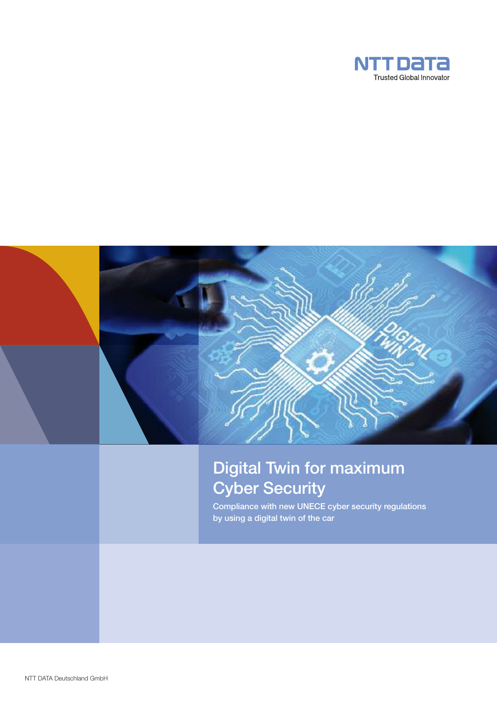

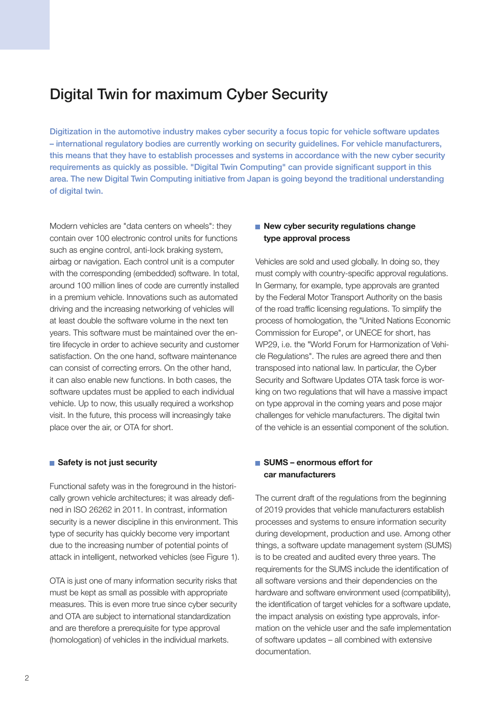# **Digital Twin for maximum Cyber Security**

**Digitization in the automotive industry makes cyber security a focus topic for vehicle software updates – international regulatory bodies are currently working on security guidelines. For vehicle manufacturers, this means that they have to establish processes and systems in accordance with the new cyber security requirements as quickly as possible. "Digital Twin Computing" can provide significant support in this area. The new Digital Twin Computing initiative from Japan is going beyond the traditional understanding of digital twin.**

Modern vehicles are "data centers on wheels": they contain over 100 electronic control units for functions such as engine control, anti-lock braking system, airbag or navigation. Each control unit is a computer with the corresponding (embedded) software. In total, around 100 million lines of code are currently installed in a premium vehicle. Innovations such as automated driving and the increasing networking of vehicles will at least double the software volume in the next ten years. This software must be maintained over the entire lifecycle in order to achieve security and customer satisfaction. On the one hand, software maintenance can consist of correcting errors. On the other hand, it can also enable new functions. In both cases, the software updates must be applied to each individual vehicle. Up to now, this usually required a workshop visit. In the future, this process will increasingly take place over the air, or OTA for short.

## **Safety is not just security**

Functional safety was in the foreground in the historically grown vehicle architectures; it was already defined in ISO 26262 in 2011. In contrast, information security is a newer discipline in this environment. This type of security has quickly become very important due to the increasing number of potential points of attack in intelligent, networked vehicles (see Figure 1).

OTA is just one of many information security risks that must be kept as small as possible with appropriate measures. This is even more true since cyber security and OTA are subject to international standardization and are therefore a prerequisite for type approval (homologation) of vehicles in the individual markets.

# ■ **New cyber security regulations change type approval process**

Vehicles are sold and used globally. In doing so, they must comply with country-specific approval regulations. In Germany, for example, type approvals are granted by the Federal Motor Transport Authority on the basis of the road traffic licensing regulations. To simplify the process of homologation, the "United Nations Economic Commission for Europe", or UNECE for short, has WP29, i.e. the "World Forum for Harmonization of Vehicle Regulations". The rules are agreed there and then transposed into national law. In particular, the Cyber Security and Software Updates OTA task force is working on two regulations that will have a massive impact on type approval in the coming years and pose major challenges for vehicle manufacturers. The digital twin of the vehicle is an essential component of the solution.

# **SUMS – enormous effort for car manufacturers**

The current draft of the regulations from the beginning of 2019 provides that vehicle manufacturers establish processes and systems to ensure information security during development, production and use. Among other things, a software update management system (SUMS) is to be created and audited every three years. The requirements for the SUMS include the identification of all software versions and their dependencies on the hardware and software environment used (compatibility), the identification of target vehicles for a software update, the impact analysis on existing type approvals, information on the vehicle user and the safe implementation of software updates – all combined with extensive documentation.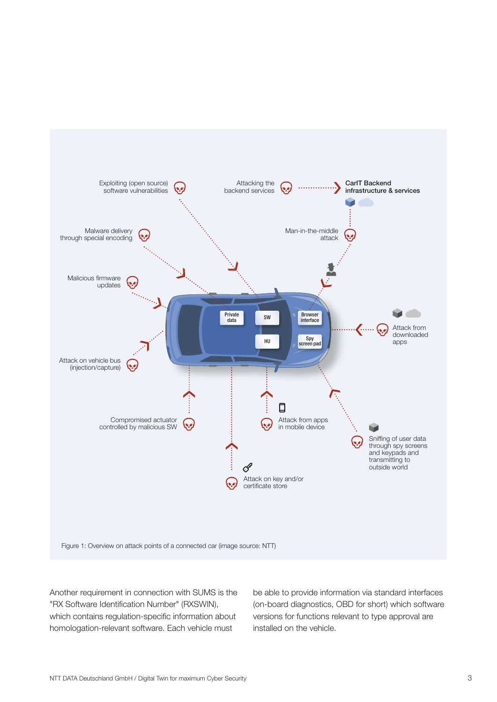

Another requirement in connection with SUMS is the "RX Software Identification Number" (RXSWIN), which contains regulation-specific information about homologation-relevant software. Each vehicle must

be able to provide information via standard interfaces (on-board diagnostics, OBD for short) which software versions for functions relevant to type approval are installed on the vehicle.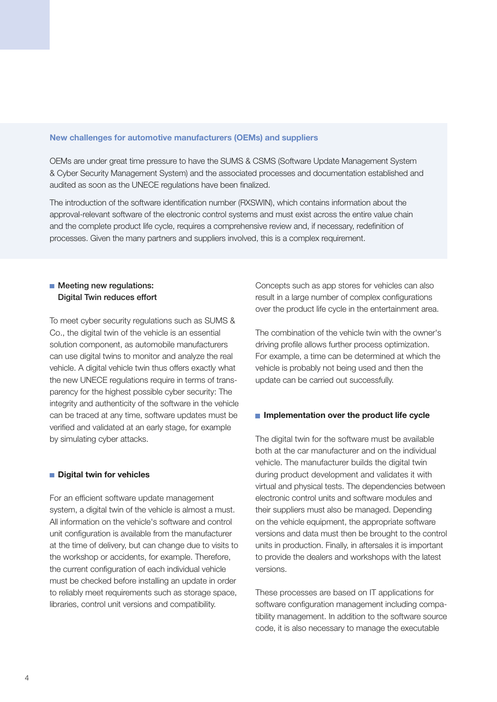#### **New challenges for automotive manufacturers (OEMs) and suppliers**

OEMs are under great time pressure to have the SUMS & CSMS (Software Update Management System & Cyber Security Management System) and the associated processes and documentation established and audited as soon as the UNECE regulations have been finalized.

The introduction of the software identification number (RXSWIN), which contains information about the approval-relevant software of the electronic control systems and must exist across the entire value chain and the complete product life cycle, requires a comprehensive review and, if necessary, redefinition of processes. Given the many partners and suppliers involved, this is a complex requirement.

# **Meeting new regulations: Digital Twin reduces effort**

To meet cyber security regulations such as SUMS & Co., the digital twin of the vehicle is an essential solution component, as automobile manufacturers can use digital twins to monitor and analyze the real vehicle. A digital vehicle twin thus offers exactly what the new UNECE regulations require in terms of transparency for the highest possible cyber security: The integrity and authenticity of the software in the vehicle can be traced at any time, software updates must be verified and validated at an early stage, for example by simulating cyber attacks.

## **Digital twin for vehicles**

For an efficient software update management system, a digital twin of the vehicle is almost a must. All information on the vehicle's software and control unit configuration is available from the manufacturer at the time of delivery, but can change due to visits to the workshop or accidents, for example. Therefore, the current configuration of each individual vehicle must be checked before installing an update in order to reliably meet requirements such as storage space, libraries, control unit versions and compatibility.

Concepts such as app stores for vehicles can also result in a large number of complex configurations over the product life cycle in the entertainment area.

The combination of the vehicle twin with the owner's driving profile allows further process optimization. For example, a time can be determined at which the vehicle is probably not being used and then the update can be carried out successfully.

#### **Implementation over the product life cycle**

The digital twin for the software must be available both at the car manufacturer and on the individual vehicle. The manufacturer builds the digital twin during product development and validates it with virtual and physical tests. The dependencies between electronic control units and software modules and their suppliers must also be managed. Depending on the vehicle equipment, the appropriate software versions and data must then be brought to the control units in production. Finally, in aftersales it is important to provide the dealers and workshops with the latest versions.

These processes are based on IT applications for software configuration management including compatibility management. In addition to the software source code, it is also necessary to manage the executable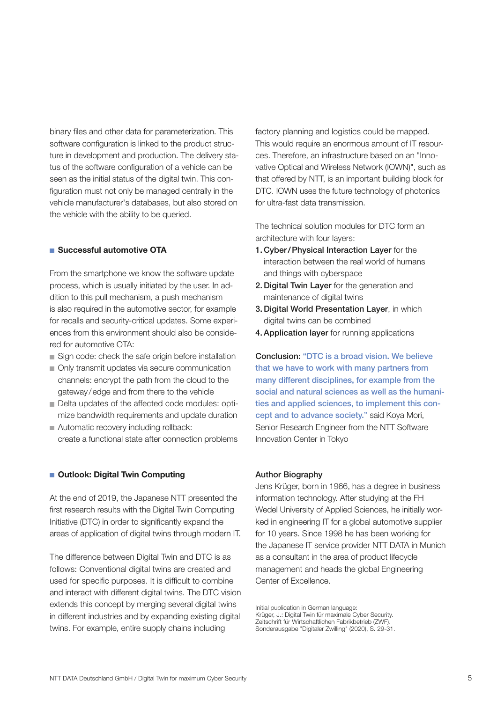binary files and other data for parameterization. This software configuration is linked to the product structure in development and production. The delivery status of the software configuration of a vehicle can be seen as the initial status of the digital twin. This configuration must not only be managed centrally in the vehicle manufacturer's databases, but also stored on the vehicle with the ability to be queried.

### **Successful automotive OTA**

From the smartphone we know the software update process, which is usually initiated by the user. In addition to this pull mechanism, a push mechanism is also required in the automotive sector, for example for recalls and security-critical updates. Some experiences from this environment should also be considered for automotive OTA:

- Sign code: check the safe origin before installation
- Only transmit updates via secure communication channels: encrypt the path from the cloud to the gateway/edge and from there to the vehicle
- Delta updates of the affected code modules: optimize bandwidth requirements and update duration
- Automatic recovery including rollback: create a functional state after connection problems

## **Outlook: Digital Twin Computing**

At the end of 2019, the Japanese NTT presented the first research results with the Digital Twin Computing Initiative (DTC) in order to significantly expand the areas of application of digital twins through modern IT.

The difference between Digital Twin and DTC is as follows: Conventional digital twins are created and used for specific purposes. It is difficult to combine and interact with different digital twins. The DTC vision extends this concept by merging several digital twins in different industries and by expanding existing digital twins. For example, entire supply chains including

factory planning and logistics could be mapped. This would require an enormous amount of IT resources. Therefore, an infrastructure based on an "Innovative Optical and Wireless Network (IOWN)", such as that offered by NTT, is an important building block for DTC. IOWN uses the future technology of photonics for ultra-fast data transmission.

The technical solution modules for DTC form an architecture with four layers:

- **1. Cyber/Physical Interaction Layer** for the interaction between the real world of humans and things with cyberspace
- **2. Digital Twin Layer** for the generation and maintenance of digital twins
- **3. Digital World Presentation Layer**, in which digital twins can be combined
- **4.Application layer** for running applications

**Conclusion: "DTC is a broad vision. We believe that we have to work with many partners from many different disciplines, for example from the social and natural sciences as well as the humanities and applied sciences, to implement this concept and to advance society."** said Koya Mori, Senior Research Engineer from the NTT Software Innovation Center in Tokyo

#### **Author Biography**

Jens Krüger, born in 1966, has a degree in business information technology. After studying at the FH Wedel University of Applied Sciences, he initially worked in engineering IT for a global automotive supplier for 10 years. Since 1998 he has been working for the Japanese IT service provider NTT DATA in Munich as a consultant in the area of product lifecycle management and heads the global Engineering Center of Excellence.

Initial publication in German language: Krüger, J.: Digital Twin für maximale Cyber Security. Zeitschrift für Wirtschaftlichen Fabrikbetrieb (ZWF). Sonderausgabe "Digitaler Zwilling" (2020), S. 29-31.